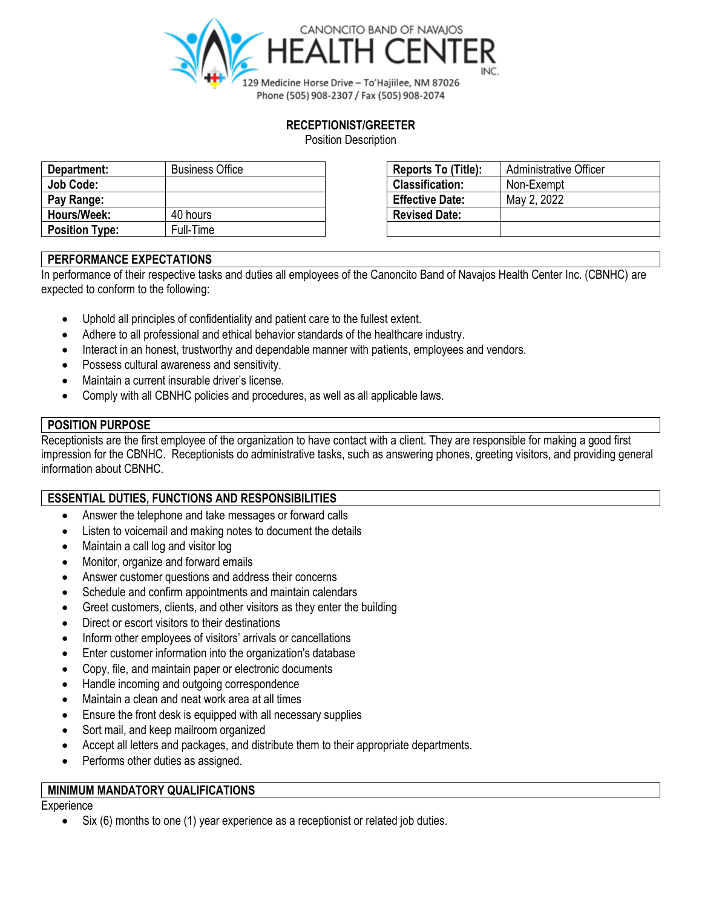

## **RECEPTIONIST/GREETER**

Position Description

| Department:           | <b>Business Office</b> | Reports To (Title):    | <b>Administrative Officer</b> |
|-----------------------|------------------------|------------------------|-------------------------------|
| <b>Job Code:</b>      |                        | <b>Classification:</b> | Non-Exempt                    |
| Pay Range:            |                        | <b>Effective Date:</b> | May 2, 2022                   |
| Hours/Week:           | 40 hours               | <b>Revised Date:</b>   |                               |
| <b>Position Type:</b> | Full-Time              |                        |                               |

| Reports To (Title):    | Administrative Officer |  |  |
|------------------------|------------------------|--|--|
| <b>Classification:</b> | Non-Exempt             |  |  |
| <b>Effective Date:</b> | May 2, 2022            |  |  |
| <b>Revised Date:</b>   |                        |  |  |
|                        |                        |  |  |

## **PERFORMANCE EXPECTATIONS**

In performance of their respective tasks and duties all employees of the Canoncito Band of Navajos Health Center Inc. (CBNHC) are expected to conform to the following:

- Uphold all principles of confidentiality and patient care to the fullest extent.
- Adhere to all professional and ethical behavior standards of the healthcare industry.
- Interact in an honest, trustworthy and dependable manner with patients, employees and vendors.
- Possess cultural awareness and sensitivity.
- Maintain a current insurable driver's license.
- Comply with all CBNHC policies and procedures, as well as all applicable laws.

## **POSITION PURPOSE**

Receptionists are the first employee of the organization to have contact with a client. They are responsible for making a good first impression for the CBNHC. Receptionists do administrative tasks, such as answering phones, greeting visitors, and providing general information about CBNHC.

#### **ESSENTIAL DUTIES, FUNCTIONS AND RESPONSIBILITIES**

- Answer the telephone and take messages or forward calls
- Listen to voicemail and making notes to document the details
- Maintain a call log and visitor log
- Monitor, organize and forward emails
- Answer customer questions and address their concerns
- Schedule and confirm appointments and maintain calendars
- Greet customers, clients, and other visitors as they enter the building
- Direct or escort visitors to their destinations
- Inform other employees of visitors' arrivals or cancellations
- Enter customer information into the organization's database
- Copy, file, and maintain paper or electronic documents
- Handle incoming and outgoing correspondence
- Maintain a clean and neat work area at all times
- Ensure the front desk is equipped with all necessary supplies
- Sort mail, and keep mailroom organized
- Accept all letters and packages, and distribute them to their appropriate departments.
- Performs other duties as assigned.

## **MINIMUM MANDATORY QUALIFICATIONS**

#### **Experience**

Six (6) months to one (1) year experience as a receptionist or related job duties.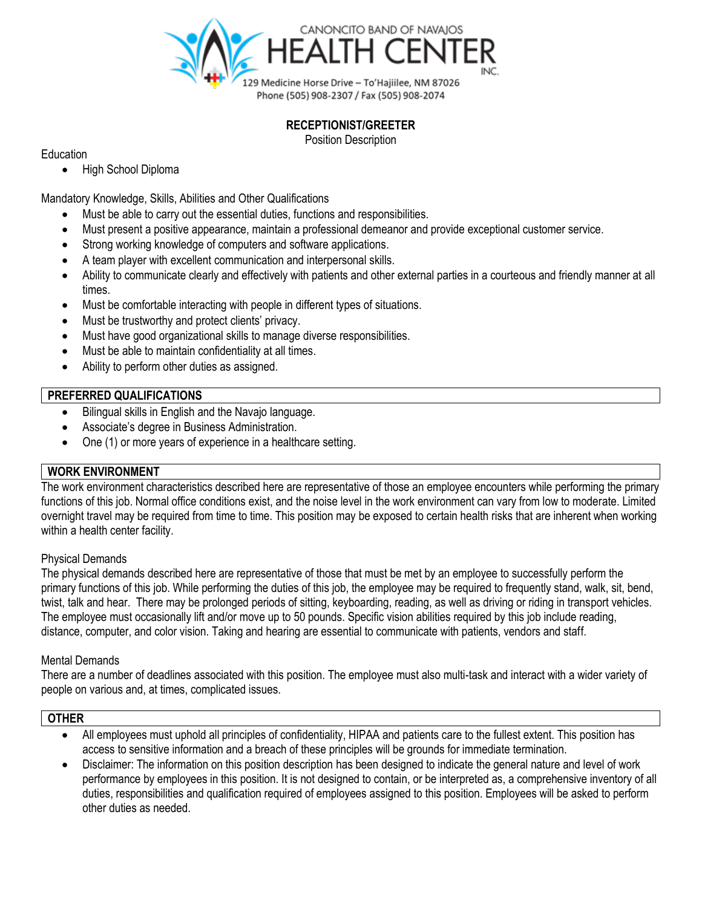

## **RECEPTIONIST/GREETER**

Position Description

Education

• High School Diploma

Mandatory Knowledge, Skills, Abilities and Other Qualifications

- Must be able to carry out the essential duties, functions and responsibilities.
- Must present a positive appearance, maintain a professional demeanor and provide exceptional customer service.
- Strong working knowledge of computers and software applications.
- A team player with excellent communication and interpersonal skills.
- Ability to communicate clearly and effectively with patients and other external parties in a courteous and friendly manner at all times.
- Must be comfortable interacting with people in different types of situations.
- Must be trustworthy and protect clients' privacy.
- Must have good organizational skills to manage diverse responsibilities.
- Must be able to maintain confidentiality at all times.
- Ability to perform other duties as assigned.

## **PREFERRED QUALIFICATIONS**

- Bilingual skills in English and the Navajo language.
- Associate's degree in Business Administration.
- One (1) or more years of experience in a healthcare setting.

## **WORK ENVIRONMENT**

The work environment characteristics described here are representative of those an employee encounters while performing the primary functions of this job. Normal office conditions exist, and the noise level in the work environment can vary from low to moderate. Limited overnight travel may be required from time to time. This position may be exposed to certain health risks that are inherent when working within a health center facility.

## Physical Demands

The physical demands described here are representative of those that must be met by an employee to successfully perform the primary functions of this job. While performing the duties of this job, the employee may be required to frequently stand, walk, sit, bend, twist, talk and hear. There may be prolonged periods of sitting, keyboarding, reading, as well as driving or riding in transport vehicles. The employee must occasionally lift and/or move up to 50 pounds. Specific vision abilities required by this job include reading, distance, computer, and color vision. Taking and hearing are essential to communicate with patients, vendors and staff.

## Mental Demands

There are a number of deadlines associated with this position. The employee must also multi-task and interact with a wider variety of people on various and, at times, complicated issues.

#### **OTHER**

- All employees must uphold all principles of confidentiality, HIPAA and patients care to the fullest extent. This position has access to sensitive information and a breach of these principles will be grounds for immediate termination.
- Disclaimer: The information on this position description has been designed to indicate the general nature and level of work performance by employees in this position. It is not designed to contain, or be interpreted as, a comprehensive inventory of all duties, responsibilities and qualification required of employees assigned to this position. Employees will be asked to perform other duties as needed.